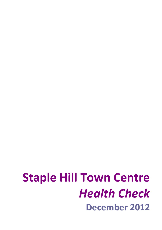# **Staple Hill Town Centre**  *Health Check* **December 2012**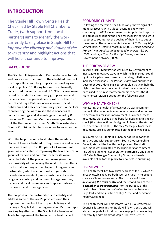### **INTRODUCTION**

The Staple Hill Town Centre Health Check, led by Staple Hill Chamber of Trade, (with support from local partners) aims to identify the work currently taking place in Staple Hill to *improve the vibrancy and vitality of the town centre* and highlight actions that will help it continue to improve.

### BACKGROUND

The Staple Hill Regeneration Partnership was founded and has evolved in answer to the identified needs of the Staple Hill area. The group started working on local projects in 1998 long before it was formally constituted. Towards the end of 1998 concerns were raised by residents, community group leaders and traders about the general deterioration of the town centre and Page Park, an increase in anti social behaviour and a lack of community spirit. Councillors representing the ward raised these concerns at council meetings and at meetings of the Policy & Resources Committee. Members were sympathetic but the then recently formed South Gloucestershire Council (1996) had limited resources to invest in the area.

With the help of council facilitators the needs of Staple Hill were identified through surveys and action plans were set up. In 2001, part of a Government grant was dedicated to improving the town centre. A group of traders and community activists were consulted about the project and were given the responsibility of overseeing the work. This resulted in the formal founding of the Staple Hill Regeneration Partnership, which is an umbrella organisation. It includes local residents, representatives of a wide range of voluntary and community organisations, traders and local businesses and representatives of the council and other agencies.

The purpose of the partnership is to identify and address some of the area's problems and thus improve the quality of life for people living and trading in Staple Hill. The Regeneration Partnership is working together with the Staple Hill Chamber of Trade to implement the town centre health check.

### ECONOMIC CLIMATE

Following the recession, the UK has only shown signs of a modest recovery with a global economic downturn continuing. In 2009, Government bodies published reports and guides highlighting the need for local partners to work together to counteract the decline of their high street or town centre. These documents included: *21st Century High Streets*, British Retail Consortium (2009), *Driving Economic Prosperity: a practical guide for lead members*, I&DeA (2009) and *High Noon for the High Street*, New Local Government Network (2009).

### THE PORTAS REVIEW

In spring 2011, Mary Portas was hired by Government to investigate innovative ways in which the high street could fight back against low consumer spending, inflation and increased overheads. The Portas Review was published in December 2011, detailing a 28‐point plan that can help the high street become the vibrant hub of the community it once used to be in so many communities across the UK. Mary Portas' vision is set out on the following page.

### WHY A HEALTH CHECK?

Monitoring the health of a town centre was a common theme in the documents mentioned above and important to determine areas for improvement. As a result, these documents were used as the basis for designing this health check (the introductions highlighted in blue at the start of each section reflect this). The 'Key Messages' from these documents are also summarised on the following page.

In summer 2011, Staple Hill Chamber of Trade took the initiative and with support from South Gloucestershire Council, started the health check process. The draft document was circulated to local partners for comment (including Staple Hill Regeneration Partnership and Staple Hill Safer & Stronger Community Group) and made available online for the public to view before publishing.

### FRAMEWORK

This health check has two primary areas of focus, which as already established, are both seen as crucial in helping to create a vibrant town centre. The first area of focus is *developing the town centre* and the second area of focus is *chamber of trade activities*. For the purpose of this health check, **'**town centre' refers to the area between Page Park and the junction of High Street and Pendennis Road/Acacia Road.

This health check will help inform South Gloucestershire Council's future plans for Staple Hill Town Centre and will also act as guide for local partners engaged in developing the vitality and vibrancy of Staple Hill Town Centre.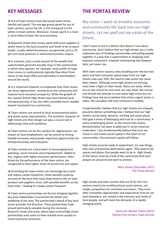Out of town centres have decreased town centre footfall and spend. The average group spend for out of town centres, across the UK, is £55 compared to £34 within in-town centres. Moreover, money spent in a chain is more likely to leave the local economy.

**N** Research shows that money spent with local suppliers is worth more to the local economy and tends to be re‐spent locally. Locally owned businesses can generate up to a 70 per cent local premium in enhanced economic impact.

In contrast, only a small amount of the wealth that supermarkets generate actually stays in the communities in which they operate. For example, retail profits of large chain stores or multinationals typically flow direct from stores to the head office and ultimately to shareholders around the world.

 $\blacktriangleright$  It is important however to emphasise that chain stores can drive regeneration, contribute to the community and improve local economic prosperity. While the growth of the 'cloned' British High Street may have harmed local entrepreneurship, it has also often provided much needed inward investment to a community.

**N** Town centres are central to local environmental policy and street scene improvements. The aesthetic character of high streets and their design can play a crucial role in addressing crime and vandalism.

**N** Town centres can be the catalyst for regeneration; can impact on local employment; can be central to driving footfall increases; and provide important opportunities for entrepreneurship and enterprise.

**N** Town centres are a focal point of encouraging local spending, social inclusion and empowerment. Added to this, regions with higher economic performance, often driven by the performance of the town centre, are recognised to have higher levels of social trust and capital.

**Promoting the town centre can encourage less travel** and reduce carbon footprints. Other benefits could be accrued on the basis that local shops tend to rely on local produce and suppliers more, with possible benefits across food miles – leading to a lower carbon footprint.

**N** Town centre partnerships are forums bringing together key local stakeholders to promote the health and wellbeing of the area. The partnership's board of key local actors provides the direction. These partnerships have proved particularly valuable during the recession. Research shows that areas where town centre/high street partnerships exist seem to have reacted more quickly to recent economic pressures.

## **KEY MESSAGES THE PORTAS REVIEW**

My vision: I want to breathe economic and community life back into our high streets. *Let me spell out my vision of the future…*

I don't want to live in a Britain that doesn't care about community. And I believe that our high streets are a really important part of building communities and pulling people together in a way that a supermarket or shopping mall, however convenient, however entertaining and however slick, just never can.

With town centre vacancy rates doubling over the last two years and total consumer spend away from our high streets now over 50%, the need to take action has never been clearer. Although some high streets are thriving, most have a fight on their hands. Many are sickly, others are on the critical list and some are now dead. We cannot and should not attempt to save every high street but my findings have led me to believe that unless urgent action is taken, the casualties will only continue to multiply.

Fundamentally I believe that our high streets are uniquely placed to deliver something new. I believe that our high streets can be lively, dynamic, exciting and social places that give a sense of belonging and trust to a community. A sense of belonging which, as the recent riots clearly demonstrated, has been eroded and in some instances eradicated. I also fundamentally believe that once we invest in and create social capital in the heart of our communities, the economic capital will follow.

High streets must be ready to experiment, try new things, take risks and become destinations again. They need to be spaces and places that people want to be in. High streets of the future must be a hub of the community that local people are proud of and want to protect.

### *Mary Portas (December 2011) The Portas Review*

High streets and town centres that are fit for the 21st century need to be multifunctional social centres, not simply competitors for stretched consumers. They must offer irresistible opportunities and experiences that do not exist elsewhere, are rooted in the interests and needs of local people, and will meet the demands of a rapidly changing world.

> *Action for Market Towns (2011) Twenty‐First Century Town Centres*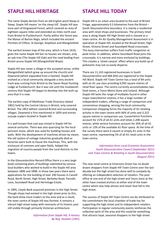### **STAPLE HILL HERITAGE STAPLE HILL TODAY**

The name Staple derives from an old English word Steap or Steep. Staple Hill means 'on the steep hill'. Staple Hill was once part of Kingswood Forest, which covered an area of eighteen square miles and extended six miles north east from Bristol to Pucklechurch. Partly within this forest was the Manor of Barton Regis, which included the ancient Parishes of Clifton, St George, Stapleton and Mangotsfield.

The earliest known map of the area, which is from 1610, gives the name Staple Hill but no houses are shown, only an oak tree (The Staple Hill Oak) and the road leading from Bristol across Staple Hill (Mangotsfield Waye).

Staple Hill was never a village in the accepted sense, unlike Mangotsfield (which grew up around the church) and Downend (which expanded from a hamlet). Staple Hill evolved as a local community alongside a very ancient track way running from Bristol to the Saxon Royal Hunting Lodge at Pucklechurch. But it was not until the nineteenth century that Staple Hill began to develop into the built‐up area that it is now.

The earliest copy of Matthews Trade Directory (dated 1801) held by the Central Library in Bristol, only covered Bristol. The 1853 edition covered Bristol and surrounding villages. Downend is first mentioned in 1859 and entries include traders located in Staple Hill.

It is well known that coal was mined in Staple Hill for several centuries. There was also quarrying for the local pennant stone, which was used for building houses and walls. With the development of machines driven by steam, the old system of cottage industries gradually died as factories were built to house the machines. This, with the enclosure of common and open fields, helped the migration of country people from the rural districts to the towns.

In the Gloucestershire Record Office there is a very large book containing plans of buildings submitted by various local builders who wished to build in the Staple Hill area between 1896 and 1898. In those two years there were applications for the building of over 240 houses in Cassell Road, North Street, High Street, Berkeley Road, Parnalls Lane, Soundwell Road and Hermitage Estate.

In 1895, Lloyds Bank acquired premises in the High Street. Though shops had existed in the high street prior to this, the bank drew more traders to the area and as a result, the town centre of Staple Hill was formed. It remains a vibrant high street today with remnants of its historic past still visible through primarily Victorian architecture.

> *Information from Staple Hill, A History By Reg. Howlett (1991)*

Staple Hill is an urban area located to the east of Bristol Fringe, approximately 0.5 kilometres from the Bristol – South Gloucestershire boundary. It is mainly a residential area with retail shops and businesses. The primary retail area is along Staple Hill High Street and is classed as a town centre. An Air Quality Management Assessment is in operation at Staple Hill, located at the Broad Street, High Street, Victoria Street and Soundwell Road crossroads. This busy intersection suffers from traffic congestion at peak times. In addition, where Soundwell Road joins the crossroads, it is narrow and more enclosed by buildings. This creates a 'street canyon' effect where any build‐up of pollutants may not so easily disperse.

There are 11,143 registered businesses in South Gloucestershire and 668 (6%) are registered to the Staple Hill Ward. Staple Hill Town Centre has a total of 84 units with an A1 use class providing 6,992 square metres of retail floor space. The centre currently accommodates two food stores, a Tesco Metro Store and Iceland. Although Staple Hill lacks the range of multiples found in other major town/district centres, it has a large number of independent traders, offering a range of comparison and convenience shopping, serving the local community. Comparison shopping forms the majority of A1 retailing activity in the town centre with 46% of units and 3,322 square metres in comparison use. Convenience functions account for 21% of all A1 units and totals 2,208 square metres, while service functions account for 26% of all A1 units or 13% of the available A1 floor space. At the time of the survey there were 6 vacant or empty A1 units in the town centre, representing 5% of all A1 retail units in the town centre.

### *Information from Local Economic Assessment South Gloucestershire Council (September 2011) and Town Centres & Retailing in South Gloucestershire (August 2011)*

The new retail centre at Emersons Green has no doubt drawn shoppers from Staple Hill Town Centre over the last decade but the high street has done well to compete by offering an independent selection of retailers. The post office at one end of the high street and Tesco store at the other have created anchors at either end of the town centre which also help attract and retain foot fall in the high street.

The success of Staple Hill Town Centre can be attributed to the commitment the local chamber of trade has for supporting the high street and its independent retailers. Participation in regular community events reinforces the collective spirit of the area and this could be something that attracts loyal, seasonal shoppers to the high street.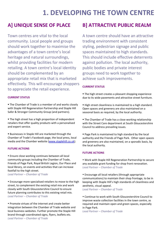## **1. DEVELOPING THE TOWN CENTRE**

Town centres are vital to the local community. Local people and groups should work together to maximise the advantages of a town centre's local heritage and natural surroundings, whilst providing facilities for modern retailing. A town centre's local identity should be complemented by an appropriate retail mix that is marketed effectively. This will encourage shoppers to appreciate the retail experience.

### **CURRENT STATUS**

**The Chamber of Trade is a member of and works closely** with Staple Hill Regeneration Partnership and Staple Hill Safer & Stronger Community Group (and partners).

**The high street has a high proportion of independent** retailers that offer quality products with a personalised and expert service.

 Businesses in Staple Hill are marketed through the Chamber of Trade's Facebook page, the local press, local media and the Chamber website ([www.staplehill.co.uk](http://www.staplehill.co.uk/)).

### **FUTURE ACTIONS**

 Ensure close working continues between all local community groups including the Chamber of Trade, Friends of Page Park, Royal British Legion, Our Place and local library, on events and activities that can increase footfall to the high street. *Lead Partner – Chamber of Trade*

 Encourage more specialised retailers to move to the high street, to complement the existing retail mix and work closely with South Gloucestershire Council to ensure future planning contributes to this existing retail mix. *Lead Partner – Chamber of Trade*

 Promote virtues of the internet and create better integration between the Chamber of Trade website and local business websites. Further promote the Staple Hill brand through coordinated signs, flyers, leaflets etc. *Lead Partner – Chamber of Trade*

### **A] UNIQUE SENSE OF PLACE B] ATTRACTIVE PUBLIC REALM**

A town centre should have an attractive trading environment with consistent styling, pedestrian signage and public spaces maintained to high standards. This should include effective deterrents against pollution. The local authority, public bodies and private interest groups need to work together to achieve such improvements.

### **CURRENT STATUS**

**The high street creates a pleasant shopping experience** due to its wide pavements and attractive street furniture.

- High street cleanliness is maintained to a high standard. Open spaces and greenery are also maintained on a seasonal basis as required, by the local authority.
- **The Chamber of Trade has a close working relationship** with the Street Care department at South Gloucestershire Council to address prevailing issues.
- Page Park is maintained to high standard by the local authority and the Friends of Page Park. Other open spaces and greenery are also maintained, on a sporadic basis, by the local authority.

### **FUTURE ACTIONS**

 Work with Staple Hill Regeneration Partnership to secure any available grant funding for shop front renovation. *Lead Partner – Chamber of Trade*

 Encourage all local retailers (through appropriate communications) to maintain their shop frontage, to be in keeping with Staple Hill's high standards of cleanliness and aesthetic, visual appeal.

*Lead Partner – Chamber of Trade*

 Continue to work with South Gloucestershire Council to improve waste collection facilities in the town centre, as required and maintain open and green spaces, especially in Page Park.

*Lead Partner – Chamber of Trade*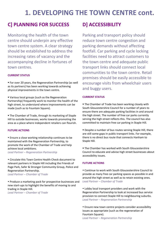## **1. DEVELOPING THE TOWN CENTRE cont.**

## **C] PLANNING FOR SUCCESS D] ACCESSIBILITY**

Monitoring the health of the town centre should underpin any effective town centre system. A clear strategy should be established to address the increasing rates of vacancy and the accompanying decline in fortunes of town centres.

### **CURRENT STATUS**

 For over 20 years, the Regeneration Partnership (as well as its partners) has been working towards achieving physical improvements in the town centre.

 Various local groups (such as the Regeneration Partnership) frequently work to monitor the health of the high street, to understand where improvements can be made (such as to Fountain Square).

 The Chamber of Trade, through its marketing of Staple Hill to outside businesses, works towards promoting the area as a place where independent retailers can flourish.

#### **FUTURE ACTIONS**

 Ensure a close working relationship continues to be maintained with the Regeneration Partnership, to promote the work of the Chamber of Trade and help achieve local ambitions.

*Lead Partner – Regeneration Partnership*

 Circulate this Town Centre Health Check document to relevant partners in Staple Hill including the Friends of Page Park, Safer & Stronger Community Group, Police and Regeneration Partnership. *Lead Partner – Chamber of Trade*

 Produce a marketing pack for prospective businesses and new start‐ups to highlight the benefits of moving to and trading in Staple Hill.

*Lead Partner – Chamber of Trade*

Parking and transport policy should reduce town centre congestion and parking demands without affecting footfall. Car parking and cycle locking facilities need to attract customers to the town centre and adequate public transport links should connect local communities to the town centre. Retail premises should be easily accessible to encourage visits from wheelchair users and buggy users.

#### **CURRENT STATUS**

**The Chamber of Trade has been working closely with** South Gloucestershire Council for a number of years to ensure there are adequate parking facilities in and around the high street. The number of free car parks currently serving the high street reflects this. The council has also committed to maintain free car parking in Staple Hill.

 Despite a number of bus routes serving Staple Hill, there are still some gaps in public transport links. For example, there is no direct bus route that connects Hanham to Staple Hill.

**The Chamber has worked with South Gloucestershire** Council to educate and advise high street businesses about accessibility issues.

### **FUTURE ACTIONS**

 Continue to work with South Gloucestershire Council to provide as many free car parking spaces as possible in and around the high street as well as to retain existing ones. *Lead Partner – Chamber of Trade*

 Lobby local transport providers and work with the Regeneration Partnership to look at increased bus service provision to connect Staple Hill to neighbouring suburbs. *Lead Partner – Regeneration Partnership*

 Ensure new town centre projects consider accessibility issues as appropriate (such as the regeneration of Fountain Square). *Lead Partner – Regeneration Partnership*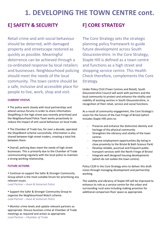## **1. DEVELOPING THE TOWN CENTRE cont.**

### **E] SAFETY & SECURITY F] CORE STRATEGY**

Retail crime and anti‐social behaviour should be deterred, with damaged property and streetscape restored as quickly as possible. Meaningful deterrence can be achieved through a co‐ordinated response by local retailers and businesses. Neighbourhood policing should meet the needs of the local community. The town centre should be a safe, inclusive and accessible place for people to live, work, shop and visit.

#### **CURRENT STATUS**

**The police work closely with local partnerships and** attend various forums in order to share information. Shoplifting in the high street was recently prioritised and the Neighbourhood Police Team works proactively to reduce the impact of anti‐social behaviour on local trade.

 The Chamber of Trade has, for over a decade, operated the *ShopWatch* scheme successfully. Information is also shared between high street traders, creating a total link between them.

 Overall, policing does meet the needs of high street businesses. This is primarily due to the Chamber of Trade communicating regularly with the local police to maintain a strong working relationship.

#### **FUTURE ACTIONS**

 Continue to support the Safer & Stronger Community Group which is the most suitable forum for prioritising any relevant issues.

*Lead Partner – Avon & Somerset Police*

• Support the Safer & Stronger Community Group to organise the Neighbourhood Watch scheme. *Lead Partner – Avon & Somerset Police*

 Monitor crime levels and update relevant partners as appropriate. Discuss business crime at Chamber of Trade meetings as required and action as appropriate. *Lead Partner – Chamber of Trade*

The Core Strategy sets the strategic planning policy framework to guide future development across South Gloucestershire. In the Core Strategy, Staple Hill is defined as a town centre and functions as a high street and shopping service centre. This Health Check therefore, complements the Core Strategy.

Under Policy CS14 (Town Centres and Retail), South Gloucestershire Council will work with partners and the local community to protect and enhance the vitality and viability of existing centres in South Gloucestershire, in recognition of their retail, service and social functions.

As a result of community engagement, the Core Strategy's vision for the future of the East Fringe of Bristol (which includes Staple Hill) aims to:

- Preserve and enhance the distinctive identity and heritage of the physical community
- Strengthen the vibrancy and vitality of the town centres
- ‐ Improve employment opportunities (by being in close proximity to the Bristol & Bath Science Park)
- ‐ Develop reliable, punctual and frequent public transport services with the North Fringe of Bristol
- ‐ Integrate well designed housing developments (which do not isolate the town centre).

Policy CS29 in the Core Strategy aims to deliver this draft vision through managing development and partnership working.

The viability and vibrancy of Staple Hill will be improved to enhance its role as a service centre for the urban and surrounding rural area including making provision for additional comparison floor space as appropriate.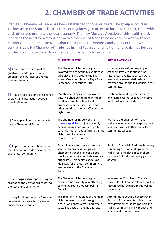## **2. CHAMBER OF TRADE ACTIVITIES**

Staple Hill Chamber of Trade has been established for over 40 years. The group encourages businesses in the Staple Hill area to meet regularly, gain access to business support, trade with each other and promote the local economy. The 'Key Messages' section of this health check identifies the need for a strong and active chamber of trade to be in place, to work with local partners and undertake activities that can improve the vibrancy and vitality of the town centre. Staple Hill Chamber of Trade has highlighted a set of ambitions and goals they believe will help contribute towards a vibrant and prosperous town centre.

### **CURRENT STATUS FUTURE ACTIONS**

A] Create and foster a spirit of goodwill, friendship and unity amongst local businesses and the local community.

B] Provide facilities for the exchange of views and interaction between local businesses.

C] Develop an informative website for the Chamber of Trade.

D] Improve communications between the Chamber of Trade and all sectors of the local community.

E] Be recognised as representing and promoting the view of businesses to the rest of the community.

F] Keep local businesses informed on important matters affecting trade, businesses and tourism.

The Chamber of Trade is regularly involved with community events that take place in and around the high street. One example is the Page Park Centenary Celebrations (2011).

Monthly meetings always allow for this. The Chamber of Trade intranet is another example of how local businesses communicate with each other and discuss issues affecting the high street.

The Chamber of Trade website ([www.staplehill.co.uk](http://www.staplehill.co.uk/)) has recently been improved and contains up‐to‐ date information about facilities in the high street, including a comprehensive list of shops.

Email circulars and newsletters are sent out to businesses regularly. The Chamber intranet provides a good tool for communication between local businesses. This health check is an ideal way for the local community to see the work of the Chamber of Trade.

The Chamber of Trade is regularly consulted on a variety of matters (eg parking by South Gloucestershire Council).

This regularly takes place at Chamber of Trade meetings and through circulation of newsletters and emails as well as posts on the intranet site.

Communicate with more people to get them involved in supporting future local events, to spread work‐ load and increase relationships between groups and individuals in the community.

Continue to hold regular meetings and invite external speakers to serve local business demands.

Promote the Chamber of Trade website when and where appropriate and link it with all other Staple Hill community websites.

Publish a Staple Hill Business Directory containing a list of all shops in the high street and place in each shop. Circulate to local community groups as well.

Increase the Chamber of Trade's current level of public relations so it is recognised by local groups as well as the media.

Attend future South Gloucestershire Business Forum events to learn about new developments that can help the high street maintain its vibrancy and vitality and competitiveness.